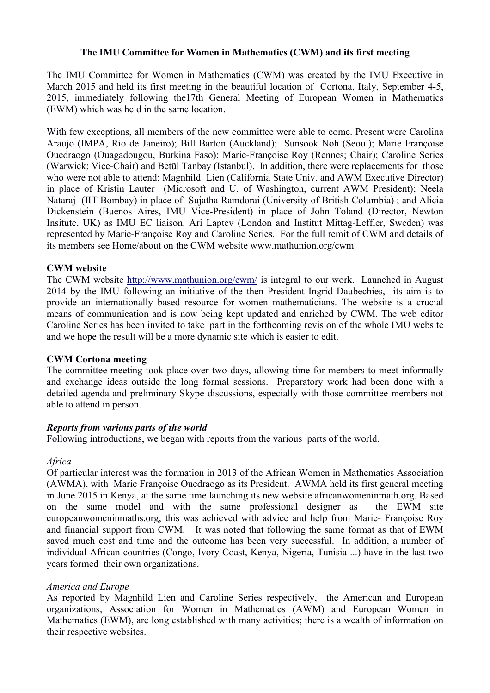### **The IMU Committee for Women in Mathematics (CWM) and its first meeting**

The IMU Committee for Women in Mathematics (CWM) was created by the IMU Executive in March 2015 and held its first meeting in the beautiful location of Cortona, Italy, September 4-5, 2015, immediately following the17th General Meeting of European Women in Mathematics (EWM) which was held in the same location.

With few exceptions, all members of the new committee were able to come. Present were Carolina Araujo (IMPA, Rio de Janeiro); Bill Barton (Auckland); Sunsook Noh (Seoul); Marie Françoise Ouedraogo (Ouagadougou, Burkina Faso); Marie-Françoise Roy (Rennes; Chair); Caroline Series (Warwick; Vice-Chair) and Betül Tanbay (Istanbul). In addition, there were replacements for those who were not able to attend: Magnhild Lien (California State Univ. and AWM Executive Director) in place of Kristin Lauter (Microsoft and U. of Washington, current AWM President); Neela Nataraj (IIT Bombay) in place of Sujatha Ramdorai (University of British Columbia) ; and Alicia Dickenstein (Buenos Aires, IMU Vice-President) in place of John Toland (Director, Newton Insitute, UK) as IMU EC liaison. Ari Laptev (London and Institut Mittag-Leffler, Sweden) was represented by Marie-Françoise Roy and Caroline Series. For the full remit of CWM and details of its members see Home/about on the CWM website www.mathunion.org/cwm

### **CWM website**

The CWM website http://www.mathunion.org/cwm/ is integral to our work. Launched in August 2014 by the IMU following an initiative of the then President Ingrid Daubechies, its aim is to provide an internationally based resource for women mathematicians. The website is a crucial means of communication and is now being kept updated and enriched by CWM. The web editor Caroline Series has been invited to take part in the forthcoming revision of the whole IMU website and we hope the result will be a more dynamic site which is easier to edit.

### **CWM Cortona meeting**

The committee meeting took place over two days, allowing time for members to meet informally and exchange ideas outside the long formal sessions. Preparatory work had been done with a detailed agenda and preliminary Skype discussions, especially with those committee members not able to attend in person.

### *Reports from various parts of the world*

Following introductions, we began with reports from the various parts of the world.

### *Africa*

Of particular interest was the formation in 2013 of the African Women in Mathematics Association (AWMA), with Marie Françoise Ouedraogo as its President. AWMA held its first general meeting in June 2015 in Kenya, at the same time launching its new website africanwomeninmath.org. Based on the same model and with the same professional designer as the EWM site europeanwomeninmaths.org, this was achieved with advice and help from Marie- Françoise Roy and financial support from CWM. It was noted that following the same format as that of EWM saved much cost and time and the outcome has been very successful. In addition, a number of individual African countries (Congo, Ivory Coast, Kenya, Nigeria, Tunisia ...) have in the last two years formed their own organizations.

## *America and Europe*

As reported by Magnhild Lien and Caroline Series respectively, the American and European organizations, Association for Women in Mathematics (AWM) and European Women in Mathematics (EWM), are long established with many activities; there is a wealth of information on their respective websites.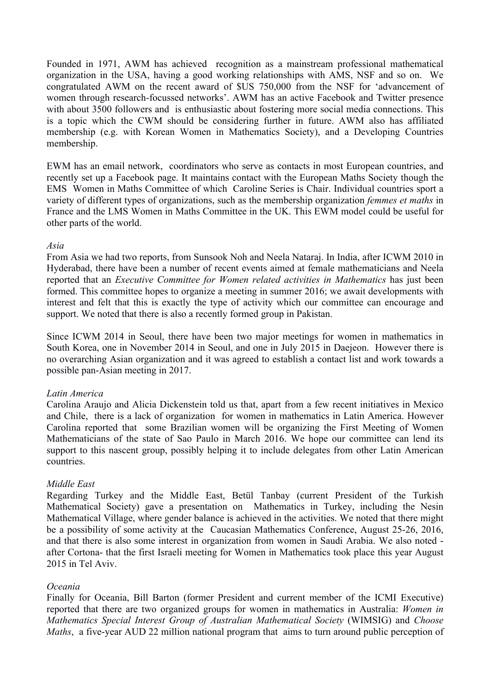Founded in 1971, AWM has achieved recognition as a mainstream professional mathematical organization in the USA, having a good working relationships with AMS, NSF and so on. We congratulated AWM on the recent award of \$US 750,000 from the NSF for 'advancement of women through research-focussed networks'. AWM has an active Facebook and Twitter presence with about 3500 followers and is enthusiastic about fostering more social media connections. This is a topic which the CWM should be considering further in future. AWM also has affiliated membership (e.g. with Korean Women in Mathematics Society), and a Developing Countries membership.

EWM has an email network, coordinators who serve as contacts in most European countries, and recently set up a Facebook page. It maintains contact with the European Maths Society though the EMS Women in Maths Committee of which Caroline Series is Chair. Individual countries sport a variety of different types of organizations, such as the membership organization *femmes et maths* in France and the LMS Women in Maths Committee in the UK. This EWM model could be useful for other parts of the world.

### *Asia*

From Asia we had two reports, from Sunsook Noh and Neela Nataraj. In India, after ICWM 2010 in Hyderabad, there have been a number of recent events aimed at female mathematicians and Neela reported that an *Executive Committee for Women related activities in Mathematics* has just been formed. This committee hopes to organize a meeting in summer 2016; we await developments with interest and felt that this is exactly the type of activity which our committee can encourage and support. We noted that there is also a recently formed group in Pakistan.

Since ICWM 2014 in Seoul, there have been two major meetings for women in mathematics in South Korea, one in November 2014 in Seoul, and one in July 2015 in Daejeon. However there is no overarching Asian organization and it was agreed to establish a contact list and work towards a possible pan-Asian meeting in 2017.

## *Latin America*

Carolina Araujo and Alicia Dickenstein told us that, apart from a few recent initiatives in Mexico and Chile, there is a lack of organization for women in mathematics in Latin America. However Carolina reported that some Brazilian women will be organizing the First Meeting of Women Mathematicians of the state of Sao Paulo in March 2016. We hope our committee can lend its support to this nascent group, possibly helping it to include delegates from other Latin American countries.

## *Middle East*

Regarding Turkey and the Middle East, Betül Tanbay (current President of the Turkish Mathematical Society) gave a presentation on Mathematics in Turkey, including the Nesin Mathematical Village, where gender balance is achieved in the activities. We noted that there might be a possibility of some activity at the Caucasian Mathematics Conference, August 25-26, 2016, and that there is also some interest in organization from women in Saudi Arabia. We also noted after Cortona- that the first Israeli meeting for Women in Mathematics took place this year August 2015 in Tel Aviv.

## *Oceania*

Finally for Oceania, Bill Barton (former President and current member of the ICMI Executive) reported that there are two organized groups for women in mathematics in Australia: *Women in Mathematics Special Interest Group of Australian Mathematical Society* (WIMSIG) and *Choose Maths*, a five-year AUD 22 million national program that aims to turn around public perception of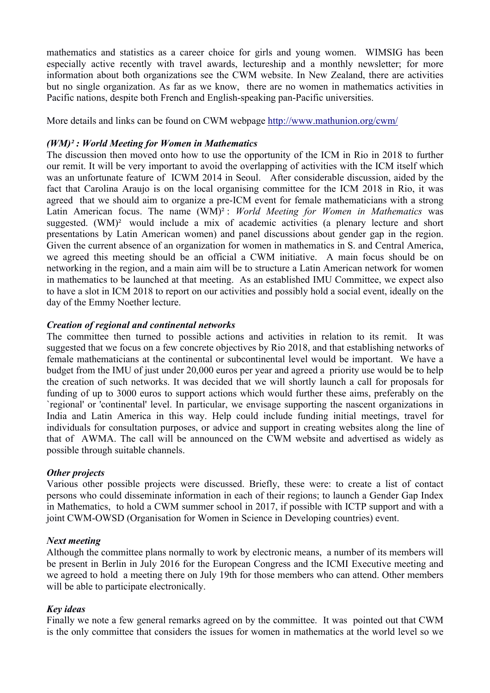mathematics and statistics as a career choice for girls and young women. WIMSIG has been especially active recently with travel awards, lectureship and a monthly newsletter; for more information about both organizations see the CWM website. In New Zealand, there are activities but no single organization. As far as we know, there are no women in mathematics activities in Pacific nations, despite both French and English-speaking pan-Pacific universities.

More details and links can be found on CWM webpage http://www.mathunion.org/cwm/

### *(WM)² : World Meeting for Women in Mathematics*

The discussion then moved onto how to use the opportunity of the ICM in Rio in 2018 to further our remit. It will be very important to avoid the overlapping of activities with the ICM itself which was an unfortunate feature of ICWM 2014 in Seoul. After considerable discussion, aided by the fact that Carolina Araujo is on the local organising committee for the ICM 2018 in Rio, it was agreed that we should aim to organize a pre-ICM event for female mathematicians with a strong Latin American focus. The name (WM)² : *World Meeting for Women in Mathematics* was suggested. (WM)<sup>2</sup> would include a mix of academic activities (a plenary lecture and short presentations by Latin American women) and panel discussions about gender gap in the region. Given the current absence of an organization for women in mathematics in S. and Central America, we agreed this meeting should be an official a CWM initiative. A main focus should be on networking in the region, and a main aim will be to structure a Latin American network for women in mathematics to be launched at that meeting. As an established IMU Committee, we expect also to have a slot in ICM 2018 to report on our activities and possibly hold a social event, ideally on the day of the Emmy Noether lecture.

### *Creation of regional and continental networks*

The committee then turned to possible actions and activities in relation to its remit. It was suggested that we focus on a few concrete objectives by Rio 2018, and that establishing networks of female mathematicians at the continental or subcontinental level would be important. We have a budget from the IMU of just under 20,000 euros per year and agreed a priority use would be to help the creation of such networks. It was decided that we will shortly launch a call for proposals for funding of up to 3000 euros to support actions which would further these aims, preferably on the `regional' or 'continental' level. In particular, we envisage supporting the nascent organizations in India and Latin America in this way. Help could include funding initial meetings, travel for individuals for consultation purposes, or advice and support in creating websites along the line of that of AWMA. The call will be announced on the CWM website and advertised as widely as possible through suitable channels.

### *Other projects*

Various other possible projects were discussed. Briefly, these were: to create a list of contact persons who could disseminate information in each of their regions; to launch a Gender Gap Index in Mathematics, to hold a CWM summer school in 2017, if possible with ICTP support and with a joint CWM-OWSD (Organisation for Women in Science in Developing countries) event.

### *Next meeting*

Although the committee plans normally to work by electronic means, a number of its members will be present in Berlin in July 2016 for the European Congress and the ICMI Executive meeting and we agreed to hold a meeting there on July 19th for those members who can attend. Other members will be able to participate electronically.

### *Key ideas*

Finally we note a few general remarks agreed on by the committee. It was pointed out that CWM is the only committee that considers the issues for women in mathematics at the world level so we